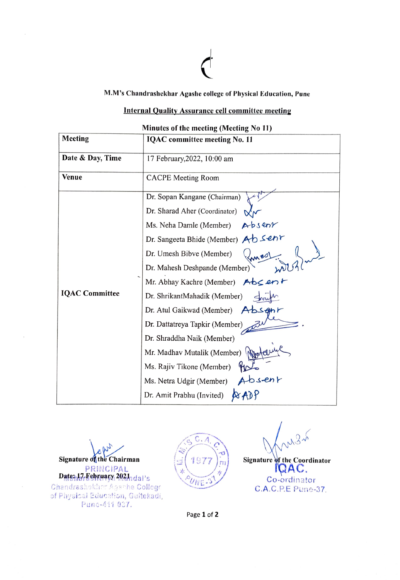M.M's Chandrashekhar Agashe college of Physical Education, Pune

## Internal Quality Assurance cell committee meting

Minutes of the meting (Meeting No 11)

| <b>Meeting</b>        | <b>IQAC</b> committee meeting No. 11                        |
|-----------------------|-------------------------------------------------------------|
| Date & Day, Time      | 17 February, 2022, 10:00 am                                 |
| <b>Venue</b>          | <b>CACPE</b> Meeting Room                                   |
|                       | Dr. Sopan Kangane (Chairman)                                |
|                       | Dr. Sharad Aher (Coordinator)                               |
|                       | Ms. Neha Damle (Member)<br>Absent                           |
|                       | Dr. Sangeeta Bhide (Member) AD Senr                         |
|                       | Dr. Umesh Bibve (Member)                                    |
|                       | Dr. Mahesh Deshpande (Member)                               |
|                       | Mr. Abhay Kachre (Member) $\forall$ b<br>$\leq$ en $\vdash$ |
| <b>IQAC Committee</b> | Dr. ShrikantMahadik (Member)                                |
|                       | Dr. Atul Gaikwad (Member)<br>Absant                         |
|                       | Dr. Dattatreya Tapkir (Member)                              |
|                       | Dr. Shraddha Naik (Member)                                  |
|                       | Mr. Madhav Mutalik (Member)                                 |
|                       | Ms. Rajiv Tikone (Member)                                   |
|                       | Absent<br>Ms. Netra Udgir (Member)                          |
|                       | Dr. Amit Prabhu (Invited)                                   |

ep Signature of the Chairman PRINCIPAL Dats: 17-Fehruary 2021 dal's Chandrashekhar Agashe College of Physical Education, Gultekadi, Punc-411 037.



 $\left(\frac{1}{277}\right)$  Signature of the Coordinator  $U_{NE}$  3<sup>1</sup> Co-ordinator C.A.C.P.E Pune-37.

Page 1 of 2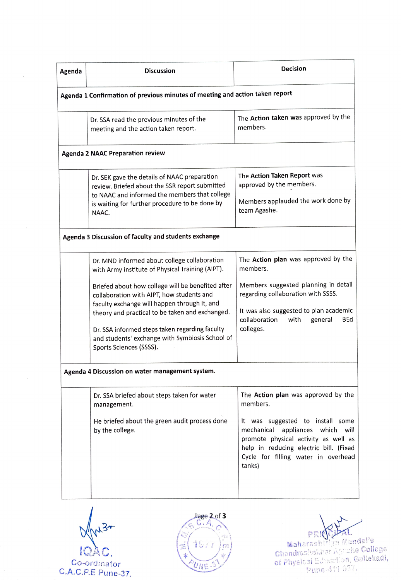| <b>Discussion</b>                                                                                                                                                                                                                                                                                      | <b>Decision</b>                                                                                                                                                                                                                                                                                              |
|--------------------------------------------------------------------------------------------------------------------------------------------------------------------------------------------------------------------------------------------------------------------------------------------------------|--------------------------------------------------------------------------------------------------------------------------------------------------------------------------------------------------------------------------------------------------------------------------------------------------------------|
|                                                                                                                                                                                                                                                                                                        |                                                                                                                                                                                                                                                                                                              |
| Dr. SSA read the previous minutes of the<br>meeting and the action taken report.                                                                                                                                                                                                                       | The Action taken was approved by the<br>members.                                                                                                                                                                                                                                                             |
|                                                                                                                                                                                                                                                                                                        |                                                                                                                                                                                                                                                                                                              |
| Dr. SEK gave the details of NAAC preparation<br>review. Briefed about the SSR report submitted<br>to NAAC and informed the members that college<br>is waiting for further procedure to be done by<br>NAAC.                                                                                             | The Action Taken Report was<br>approved by the members.<br>Members applauded the work done by<br>team Agashe.                                                                                                                                                                                                |
|                                                                                                                                                                                                                                                                                                        |                                                                                                                                                                                                                                                                                                              |
| Dr. MND informed about college collaboration<br>with Army institute of Physical Training (AIPT).                                                                                                                                                                                                       | The Action plan was approved by the<br>members.                                                                                                                                                                                                                                                              |
| Briefed about how college will be benefited after<br>collaboration with AIPT, how students and<br>faculty exchange will happen through it, and<br>theory and practical to be taken and exchanged.<br>Dr. SSA informed steps taken regarding faculty<br>and students' exchange with Symbiosis School of | Members suggested planning in detail<br>regarding collaboration with SSSS.<br>It was also suggested to plan academic<br>collaboration<br>with<br>general<br>colleges.                                                                                                                                        |
|                                                                                                                                                                                                                                                                                                        |                                                                                                                                                                                                                                                                                                              |
|                                                                                                                                                                                                                                                                                                        |                                                                                                                                                                                                                                                                                                              |
| management.                                                                                                                                                                                                                                                                                            | The Action plan was approved by the<br>members.                                                                                                                                                                                                                                                              |
| He briefed about the green audit process done<br>by the college.                                                                                                                                                                                                                                       | It was suggested to install some<br>mechanical<br>appliances which will<br>promote physical activity as well as<br>help in reducing electric bill. (Fixed<br>Cycle for filling water in overhead                                                                                                             |
|                                                                                                                                                                                                                                                                                                        | Agenda 1 Confirmation of previous minutes of meeting and action taken report<br><b>Agenda 2 NAAC Preparation review</b><br>Agenda 3 Discussion of faculty and students exchange<br>Sports Sciences (SSSS).<br>Agenda 4 Discussion on water management system.<br>Dr. SSA briefed about steps taken for water |

 $134$ Co-ordinator<br>C.A.C.P.E Pune-37.

 $\overline{\phantom{a}}$ 

 $\tilde{\mathcal{A}}$ 



PRI**NCIPAL**<br>Maharashriya Mandal's

 $\mathsf{IQRC.}$   $\left( \begin{matrix} \equiv \begin{pmatrix} 1 & 0 & 1 \end{pmatrix} & m \end{matrix} \right)$  chandrastic line  $\mathsf{IQAC.}$ of PhysiC ai ditn, Galekadi, Co-ordinator